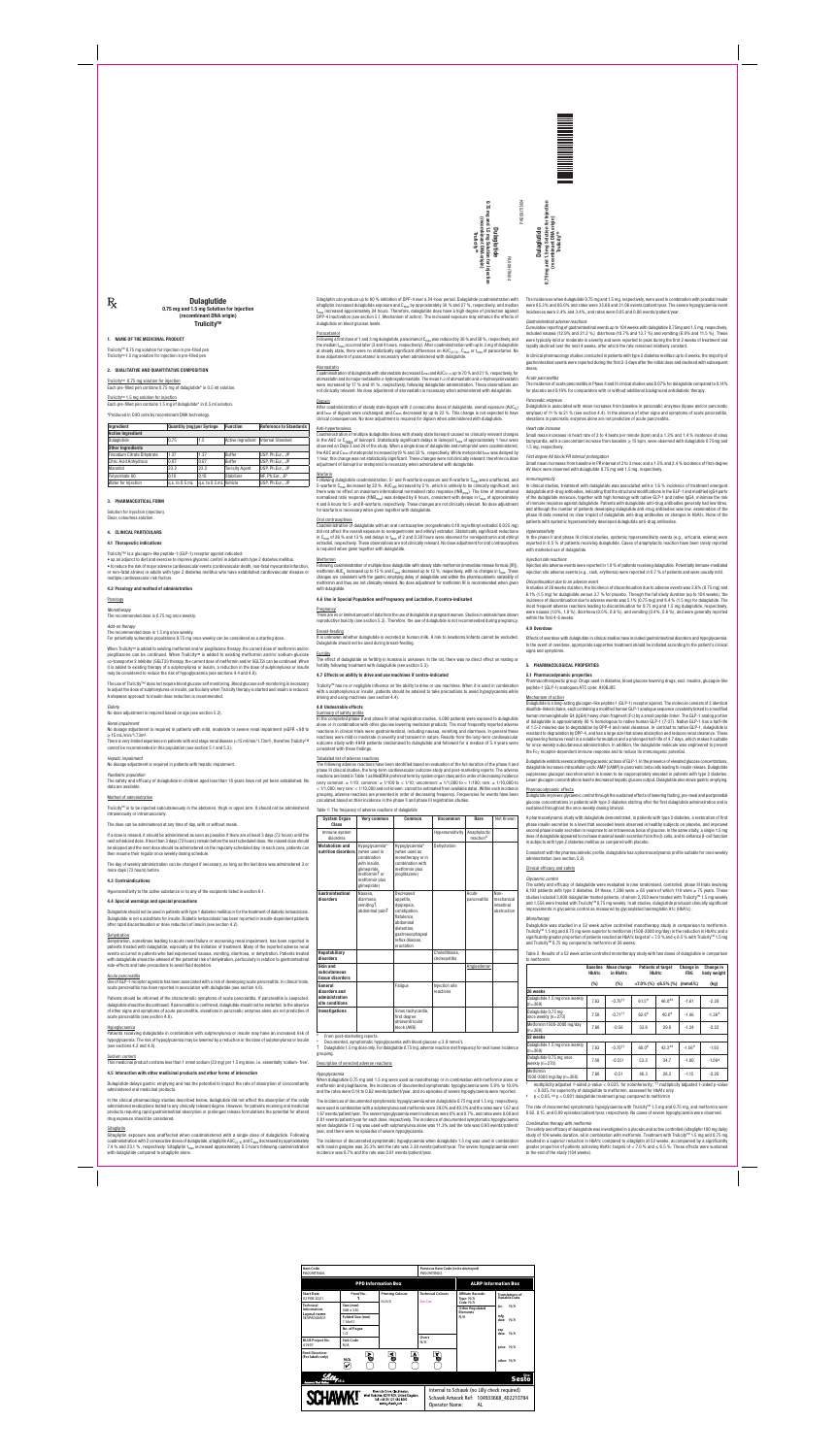PA0091TIN04 **NUNLIBU** mg and 1.5 mg Solution for Injection<br>(recombinant DNA origin)<br>Trulicity<sup>rw</sup> **0.75 Dulaglutide**PA009ITIN04

**Dulaglutide<br>0.75 mg and 1.5 mg Solution f**<br>(recombinant DNA or<sup>i</sup>

#### **COMPOSITION QUANTITATIVE AND QUALITATIVE 2.**

Trulicity™ 0.75 mg solution for injection Each pre-filled pen contains 0.75 mg of dulaglutide\* in 0.5 ml solution.

Each pre-filled pen contains 1.5 mg of dulaglutide\* in 0.5 ml solution.

#### Trulicity<sup>™</sup> 1.5 mg solution for injection

\*Produced in CHO cells by recombinant DNA technology.

### **Solution Temple 1 Standards Assume to Standards and Purple reference to Standards (Quantity (mg)per Syringe | Function | Reference to Standards Active Ingredient** Dulaglutide | 0.75 | 1.5 | Active Ingredient | Internal Standard **Other Ingredients** Trisodium Citrate Dihydrate 1.37 1.37 1.37 Buffer IUSP Ph Eur. JP Citric Acid Anhydrous 0.07 0.07 Buffer USP, Ph.Eur., JP Mannitol 23.2 23.2 Tonicity Agent USP, Ph.Eur., JP Polysorbate 80 **Decision 10.10** 0.10 **Stabilizer** NF, Ph.Eur., JP Water for Injection  $q.s.$  to 0.5 mL  $|q.s.$  to 0.5 mL Vehicle  $|USP, Ph.Eur., JP$

#### **FORM PHARMACEUTICAL 3.**

Solution for injection (injection) Clear, colourless solution.

### **PARTICULARS CLINICAL 4.**

### **indications Therapeutic 4.1**

Trulicity<sup>™</sup> is a glucagon-like peptide-1 (GLP-1) receptor agonist indicated:

• as an adjunct to diet and exercise to improve glycemic control in adults with type 2 diabetes mellitus.  $\bullet$  to reduce the risk of major adverse cardiovascular events (cardiovascular death, non-fatal myocardial infarction, or non-fatal stroke) in adults with type 2 diabetes mellitus who have established cardiovascular disease or multiple cardiovascular risk factors.

#### **4.2 Posology and method of administration**

### cannot be recommended in this population (see section 5.1 and 5.2). *impairment Hepatic*

No dosage adjustment is required in patients with hepatic impairment.

Posology

*Monotherapy*

Sitagliptin can produce up to 80 % inhibition of DPP-4 over a 24-hour period. Dulaglutide coadministration with sitagliptin increased dulaglutide exposure and  $C_{max}$  by approximately 38 % and 27 %, respectively, and median  $t_{\text{max}}$  increased approximately 24 hours. Therefore, dulaglutide does have a high degree of protection against DPP-4 inactivation (see section 5.1, Mechanism of action). The increased exposure may enhance the effects of dulaglutide on blood glucose levels.

#### **Paracetamol**

Following a first dose of 1 and 3 mg dulaglutide, paracetamol  $C_{max}$  was reduced by 36 % and 50 %, respectively, and the median  $t_{max}$  occurred later (3 and 4 hours, respectively). After coadministration with up to 3 mg of dulaglutide at steady state, there were no statistically significant differences on AUC (0-12), C<sub>max</sub> or t<sub>max</sub> of paracetamol. No dose adjustment of paracetamol is necessary when administered with dulaglutide.

#### **Atorvastatin**

Coadministration of dulaglutide with atorvastatin decreased C<sub>max</sub> and AUC (0- $\infty$ ) up to 70 % and 21 %, respectively, for atorvastatin and its major metabolite  $o$ -hydroxyatorvastatin. The mean t<sub>1/2</sub> of atorvastatin and  $o$ -hydroxyatorvastatin were increased by 17 % and 41 %, respectively, following dulaglutide administration. These observations are not clinically relevant. No dose adjustment of atorvastatin is necessary when administered with dulaglutide.

#### *Elderly*

No dose adjustment is required based on age (see section 5.2).

#### *impairment Renal*

No dosage adjustment is required in patients with mild, moderate or severe renal impairment (eGFR <90 to  $> 15$  mL/min/1.73m<sup>2</sup> There is very limited experience in patients with end stage renal disease (<15 ml/min/1.73m<sup>2</sup>), therefore Trulicity<sup>TM</sup>

### *population Paediatric*

The safety and efficacy of dulaglutide in children aged less than 18 years have not yet been established. No data are available

#### Method of administration

Trulicity<sup>TM</sup> is to be injected subcutaneously in the abdomen, thigh or upper arm. It should not be administered intravenously or intramuscularly.

#### The dose can be administered at any time of day, with or without meals.

If a dose is missed, it should be administered as soon as possible if there are at least 3 days (72 hours) until the next scheduled dose. If less than 3 days (72 hours) remain before the next scheduled dose, the missed dose should be skipped and the next dose should be administered on the regularly scheduled day. In each case, patients can then resume their regular once weekly dosing schedule.

The day of weekly administration can be changed if necessary, as long as the last dose was administered 3 or more days (72 hours) before.

#### **Contraindications 4.3**

Hypersensitivity to the active substance or to any of the excipients listed in section 6.1.

#### **4.4 Special warnings and special precautions**

Dulaglutide should not be used in patients with type 1 diabetes mellitus or for the treatment of diabetic ketoacidosis. Dulaglutide is not a substitute for insulin. Diabetic ketoacidosis has been reported in insulin-dependent patients after rapid discontinuation or dose reduction of insulin (see section 4.2).

#### Dehydration

Dehydration, sometimes leading to acute renal failure or worsening renal impairment, has been reported in patients treated with dulaglutide, especially at the initiation of treatment. Many of the reported adverse renal events occurred in patients who had experienced nausea, vomiting, diarrhoea, or dehydration. Patients treated with dulaglutide should be advised of the potential risk of dehydration, particularly in relation to gastrointestinal side-effects and take precautions to avoid fluid depletion.

#### Acute pancreatitis

Use of GLP-1 receptor agonists has been associated with a risk of developing acute pancreatitis. In clinical trials, acute pancreatitis has been reported in association with dulaglutide (see section 4.8).

Patients should be informed of the characteristic symptoms of acute pancreatitis. If pancreatitis is suspected, dulaglutide should be discontinued. If pancreatitis is confirmed, dulaglutide should not be restarted. In the absence of other signs and symptoms of acute pancreatitis, elevations in pancreatic enzymes alone are not predictive of acute pancreatitis (see section 4.8).

#### Hypoglycaemia

Patients receiving dulaglutide in combination with sulphonylurea or insulin may have an increased risk of hypoglycaemia. The risk of hypoglycaemia may be lowered by a reduction in the dose of sulphonylurea or insulin (see sections  $4.2$  and  $4.8$ ).

#### Sodium content

This medicinal product contains less than 1 mmol sodium (23 mg) per 1.5 mg dose, i.e. essentially 'sodium- free'.

### **4.5** Interaction with other medicinal products and other forms of interaction

Dulaglutide delays gastric emptying and has the potential to impact the rate of absorption of concomitantly administered oral medicinal products.

In the clinical pharmacology studies described below, dulaglutide did not affect the absorption of the orally administered medications tested to any clinically relevant degree. However, for patients receiving oral medicinal products requiring rapid gastrointestinal absorption or prolonged release formulations the potential for altered drug exposure should be considered

#### **Sitagliptin**

Sitagliptin exposure was unaffected when coadministered with a single dose of dulaglutide. Following coadministration with 2 consecutive doses of dulaglutide, sitagliptin AUC  $_{(0-<sub>T</sub>)}$  and  $C_{max}$  decreased by approximately 7.4 % and 23.1 %, respectively. Sitagliptin  $t_{max}$  increased approximately 0.5 hours following coadministration with dulaglutide compared to sitagliptin alone.

### reproductive toxicity (see section 5.3). Therefore, the use of dulaglutide is not recommended during pregnancy

#### Breast-feeding

It is unknown whether dulaglutide is excreted in human milk. A risk to newborns/infants cannot be excluded. Dulaglutide should not be used during breast-feeding.

#### **Fertility**

The effect of dulaglutide on fertility in humans is unknown. In the rat, there was no direct effect on mating or fertility following treatment with dulaglutide (see section 5.3).

#### **4.7 Effects on ability to drive and use machines if contra-indicated**

Trulicity™ has no or negligible influence on the ability to drive or use machines. When it is used in combination with a sulphonylurea or insulin, patients should be advised to take precautions to avoid hypoglycaemia while driving and using machines (see section 4.4).

 $\dagger$  Dulaglutide 1.5 mg dose only. For dulaglutide 0.75 mg, adverse reaction met frequency for next lower incidence .grouping

#### Description of selected adverse reactions

#### Digoxin

After coadministration of steady state digoxin with 2 consecutive doses of dulaglutide, overall exposure (AUC<sub>T</sub>) and  $t_{max}$  of digoxin were unchanged; and  $C_{max}$  decreased by up to 22 %. This change is not expected to have clinical consequences. No dose adjustment is required for digoxin when administered with dulaglutide.

#### Anti-hypertensives

Coadministration of multiple dulaglutide doses with steady state lisinopril caused no clinically relevant changes in the AUC or C<sub>max</sub> of lisinopril. Statistically significant delays in lisinopril  $t_{max}$  of approximately 1 hour were observed on Days 3 and 24 of the study. When a single dose of dulaglutide and metoprolol were coadministered, the AUC and C<sub>max</sub> of metoprolol increased by 19 % and 32 %, respectively. While metoprolol t<sub>max</sub> was delayed by 1 hour, this change was not statistically significant. These changes were not clinically relevant; therefore no dose adjustment of lisinopril or metoprolol is necessary when administered with dulaglutide.

In clinical pharmacology studies conducted in patients with type 2 diabetes mellitus up to 6 weeks, the majority of gastrointestinal events were reported during the first 2-3 days after the initial dose and declined with subsequent .doses

#### Warfarin

Following dulaglutide coadministration, S- and R-warfarin exposure and R-warfarin C<sub>max</sub> were unaffected, and S-warfarin C<sub>max</sub> decreased by 22 %. AUC<sub>INR</sub> increased by 2 %, which is unlikely to be clinically significant, and there was no effect on maximum international normalised ratio response (INR<sub>max</sub>). The time of international normalised ratio response (tlNR<sub>max</sub>) was delayed by 6 hours, consistent with delays in  $t_{max}$  of approximately 4 and 6 hours for S- and R-warfarin. respectively. These changes are not clinically relevant. No dose adjustment for warfarin is necessary when given together with dulaglutide.

#### Oral contraceptives

Coadministration of dulaglutide with an oral contraceptive (norgestimate 0.18 mg/ethinyl estradiol 0.025 mg) did not affect the overall exposure to norelgestromin and ethinyl estradiol. Statistically significant reductions in C<sub>max</sub> of 26 % and 13 % and delays in  $t_{max}$  of 2 and 0.30 hours were observed for norelgestromin and ethinyl estradiol, respectively. These observations are not clinically relevant. No dose adjustment for oral contraceptives is required when given together with dulaglutide.

#### **Metformin**

Following coadministration of multiple dose dulaglutide with steady state metformin (immediate release formula [IR]). metformin AUC<sub>T</sub> increased up to 15 % and C<sub>max</sub> decreased up to 12 %, respectively, with no changes in t<sub>max</sub>. These changes are consistent with the gastric emptying delay of dulaglutide and within the pharmacokinetic variability of metformin and thus are not clinically relevant. No dose adjustment for metformin IR is recommended when given with dulaglutide

#### **4.6 Use in Special Population and Pregnancy and Lactation, if contra-indicated**

### **Pregnancy**

n ni ahitulneluh ta animals in studies .pregnant in dulaglutide in during the form of data of animals of anima

The incidences when dulaglutide 0.75 mg and 1.5 mg, respectively, were used in combination with prandial insulin were 85.3% and 80.0% and rates were 35.66 and 31.06 events/patient/year. The severe hypoglycaemia event incidences were 2.4% and 3.4%, and rates were 0.05 and 0.06 events/patient/year.

#### $G$ *astrointestinal adverse reactions*

Cumulative reporting of gastrointestinal events up to 104 weeks with dulaglutide 0.75mg and 1.5 mg, respectively, included nausea (12.9% and 21.2 %), diarrhoea (10.7% and 13.7 %) and vomiting (6.9% and 11.5 %). These were typically mild or moderate in severity and were reported to peak during the first 2 weeks of treatment and rapidly declined over the next 4 weeks, after which the rate remained relatively constant.

### **effects Undesirable 4.8**

Summary of safety profile In the completed phase II and phase III initial registration studies, 4,006 patients were exposed to dulaglutide alone or in combination with other glucose lowering medicinal products. The most frequently reported adverse reactions in clinical trials were gastrointestinal, including nausea, vomiting and diarrhoea. In general these reactions were mild or moderate in severity and transient in nature. Results from the long-term cardiovascular outcome study with 4949 patients randomised to dulaglutide and followed for a median of 5.4 years were consistent with these findings.

#### Tabulated list of adverse reactions

The following adverse reactions have been identified based on evaluation of the full duration of the phase II and phase III clinical studies, the long-term cardiovascular outcome study and post-marketing reports. The adverse reactions are listed in Table 1 as MedDRA preferred term by system organ class and in order of decreasing incidence (very common: ≥ 1/10; common: ≥ 1/100 to < 1/10; uncommon: ≥ 1/1,000 to < 1/100; rare: ≥ 1/10,000 to  $<$  1/1,000; very rare:  $<$  1/10,000 and not known: cannot be estimated from available data). Within each incidence grouping, adverse reactions are presented in order of decreasing frequency. Frequencies for events have been calculated based on their incidence in the phase II and phase III registration studies.

#### Table 1: The frequency of adverse reactions of dulaglutide

**Injection for Solution mg 1.5 and mg 0.75 (origin DNA recombinant(** hbinant DNA ori<br>Trulicity<sup>rm</sup>

ı for Injection<br>rigin)

## **Dulaglutide** 0.75 mg and 1.5 mg Solution for Injection (recombinant DNA origin) **Trulicity™**

#### **1. NAME OF THE MEDICINAL PRODUCT**

 $R_{\rm X}$ 

Trulicity™ 0.75 mg solution for injection in pre-filled pen Trulicity™ 1.5 mg solution for injection in pre-filled pen

| <b>System Organ</b><br>Class                                  | Very common                                                                                                                                    | Common                                                                                                                                                | <b>Uncommon</b>                  | Rare                      | Not Known                                       |
|---------------------------------------------------------------|------------------------------------------------------------------------------------------------------------------------------------------------|-------------------------------------------------------------------------------------------------------------------------------------------------------|----------------------------------|---------------------------|-------------------------------------------------|
| Immune system<br>disorders                                    |                                                                                                                                                |                                                                                                                                                       | Hypersensitivity                 | Anaphylactic<br>reaction# |                                                 |
| <b>Metabolism and</b><br>nutrition disorders                  | Hypoglycaemia*<br>(when used in<br>combination<br>with insulin,<br>glimepiride,<br>metformin <sup>†</sup> or<br>metformin plus<br>glimepiride) | Hypoglycaemia*<br>(when used as<br>monotherapy or in<br>combination with<br>metformin plus<br>pioglitazone)                                           | Dehydration                      |                           |                                                 |
| Gastrointestinal<br>disorders                                 | Nausea,<br>diarrhoea.<br>vomiting <sup>†</sup> ,<br>abdominal pain <sup>†</sup>                                                                | Decreased<br>appetite,<br>dyspepsia,<br>constipation,<br>flatulence,<br>abdominal<br>distention.<br>gastroesophageal<br>reflux disease,<br>eructation |                                  | Acute<br>pancreatitis     | Non-<br>mechanical<br>intestinal<br>obstruction |
| <b>Hepatobiliary</b><br>disorders                             |                                                                                                                                                |                                                                                                                                                       | Cholelithiasis,<br>cholecystitis |                           |                                                 |
| Skin and<br>subcutaneous<br>tissue disorders                  |                                                                                                                                                |                                                                                                                                                       |                                  | Angioedema <sup>#</sup>   |                                                 |
| General<br>disorders and<br>administration<br>site conditions |                                                                                                                                                | Fatique                                                                                                                                               | Injection site<br>reactions      |                           |                                                 |
| <b>Investigations</b>                                         |                                                                                                                                                | Sinus tachycardia,<br>first degree<br>atrioventricular<br>block (AVB)                                                                                 |                                  |                           |                                                 |

From post-marketing reports.

Documented, symptomatic hypoglycaemia with blood glucose  $\leq 3.9$  mmol/L

#### *Hypoglycaemia*

When dulaglutide 0.75 mg and 1.5 mg were used as monotherapy or in combination with metformin alone or metformin and pioglitazone, the incidences of documented symptomatic hypoglycaemia were 5.9% to 10.9% and the rates were 0.14 to 0.62 events/patient/year, and no episodes of severe hypoglycaemia were reported.

The incidences of documented symptomatic hypoglycaemia when dulaglutide 0.75 mg and 1.5 mg, respectively. were used in combination with a sulphonylurea and metformin were 39.0% and 40.3% and the rates were 1.67 and 1.67 events/patient/year. The severe hypoglycaemia event incidences were 0% and 0.7%, and rates were 0.00 and 0.01 events/patient/year for each dose, respectively. The incidence of documented symptomatic hypoglycaemia when dulaglutide 1.5 mg was used with sulphonylurea alone was 11.3% and the rate was 0.90 events/patient/ year, and there were no episodes of severe hypoglycaemia.

The incidence of documented symptomatic hypoglycaemia when dulaglutide 1.5 mg was used in combination with insulin glargine was 35.3% and the rate was 3.38 events/patient/year. The severe hypoglycaemia event incidence was 0.7% and the rate was 0.01 events/patient/year.

# within the first 4-6 weeks

#### *pancreatitis Acute*

The incidence of acute pancreatitis in Phase II and III clinical studies was 0.07% for dulaglutide compared to 0.14% for placebo and 0.19% for comparators with or without additional background antidiabetic therapy.

#### *enzymes Pancreatic*

Dulaglutide is associated with mean increases from baseline in pancreatic enzymes (lipase and/or pancreatic amylase) of 11 % to 21 % (see section 4.4). In the absence of other signs and symptoms of acute pancreatitis, elevations in pancreatic enzymes alone are not predictive of acute pancreatitis

#### **Heart** rate increase

Small mean increases in heart rate of 2 to 4 beats per minute (bpm) and a 1.3% and 1.4 % incidence of sinus tachycardia, with a concomitant increase from baseline  $\geq$  15 bpm, were observed with dulaglutide 0.75 mg and 1.5 mg, respectively.

### First degree AV block/PR interval prolongation

Small mean increases from baseline in PR interval of 2 to 3 msec and a 1.5% and 2.4 % incidence of first-degree AV block were observed with dulaglutide 0.75 mg and 1.5 mg, respectively.

#### *Immunogenicity*

In clinical studies, treatment with dulaglutide was associated with a 1.6 % incidence of treatment emergent dulaglutide anti-drug antibodies, indicating that the structural modifications in the GLP-1 and modified loG4 narts of the dulaglutide molecule, together with high homology with native GLP-1 and native IgG4, minimise the risk of immune response against dulaglutide. Patients with dulaglutide anti-drug antibodies generally had low titres, and although the number of patients developing dulaglutide anti-drug antibodies was low, examination of the phase III data revealed no clear impact of dulaglutide anti-drug antibodies on changes in HbA1c. None of the patients with systemic hypersensitivity developed dulaglutide anti-drug antibodies.

#### *Hypersensitivity*

In the phase II and phase III clinical studies, systemic hypersensitivity events (e.g., urticaria, edema) were reported in 0.5 % of patients receiving dulaglutide. Cases of anaphylactic reaction have been rarely reported with marketed use of dulaglutide.

#### *Injection site reactions*

Injection site adverse events were reported in 1.9 % of patients receiving dulaglutide. Potentially immune-mediated injection site adverse events (e.g., rash, erythema) were reported in 0.7 % of patients and were usually mild.

### **Discontinuation due to an adverse event**

In studies of 26 weeks duration, the incidence of discontinuation due to adverse events was  $2.6\%$  (0.75 mg) and 6.1% (1.5 mg) for dulaglutide versus 3.7 % for placebo. Through the full study duration (up to 104 weeks), the incidence of discontinuation due to adverse events was 5.1% (0.75 mg) and 8.4 % (1.5 mg) for dulaglutide. The most frequent adverse reactions leading to discontinuation for 0.75 mg and 1.5 mg dulaglutide, respectively, were nausea (1.0%, 1.9 %), diarrhoea (0.5%, 0.6 %), and vomiting (0.4%, 0.6 %), and were generally reported

lose is 0.75 mg once weekly

#### Add-on therapy The recommended dose is 1.5 mg once weekly.

For potentially vulnerable populations 0.75 mg once weekly can be considered as a starting dose.

When Trulicity™ is added to existing metformin and/or pioglitazone therapy, the current dose of metformin and/or pioglitazone can be continued. When Trulicity<sup>TM</sup> is added to existing metformin and/or sodium-glucose co-transporter 2 inhibitor (SGLT2i) therapy, the current dose of metformin and/or SGLT2i can be continued. When it is added to existing therapy of a sulphonylurea or insulin, a reduction in the dose of sulphonylurea or insulin may be considered to reduce the risk of hypoglycaemia (see sections 4.4 and 4.8).

The use of Trulicity<sup>™</sup> does not require blood glucose self monitoring. Blood glucose self-monitoring is necessary to adjust the dose of sulphonylurea or insulin, particularly when Trulicity therapy is started and insulin is reduced. A stepwise approach to insulin dose reduction is recommended.

### **Overdose 4.9**

Effects of overdose with dulaglutide in clinical studies have included gastrointestinal disorders and hypoglycaemia In the event of overdose, appropriate supportive treatment should be initiated according to the patient's clinical signs and symptoms

#### **PROPERTIES PHARMACOLOGICAL 5.**

#### **properties Pharmacodynamic 5.1**

Pharmacotherapeutic group: Drugs used in diabetes, blood glucose lowering drugs, excl. insulins, glucagon-like peptide-1 (GLP-1) analogues ATC code: A10BJ05

#### Mechanism of action

Dulaglutide is a long-acting glucagon-like peptide 1 (GLP-1) receptor agonist. The molecule consists of 2 identical disulfide-linked chains, each containing a modified human GLP-1 analogue sequence covalently linked to a modified human immunoglobulin G4 (lgG4) heavy chain fragment (Fc) by a small peptide linker. The GLP-1 analog portion of dulaglutide is approximately 90 % homologous to native human GLP-1 (7-37). Native GLP-1 has a half-life of 1.5-2 minutes due to degradation by DPP-4 and renal clearance. In contrast to native GLP-1, dulaglutide is resistant to degradation by DPP-4, and has a large size that slows absorption and reduces renal clearance. These engineering features result in a soluble formulation and a prolonged half-life of 4.7 days, which makes it suitable for once-weekly subcutaneous administration. In addition, the dulaglutide molecule was engineered to prevent the Fcγ receptor-dependent immune response and to reduce its immunogenic potential.

Dulaglutide exhibits several antihyperglycaemic actions of GLP-1. In the presence of elevated glucose concentrations, dulaglutide increases intracellular cyclic AMP (cAMP) in pancreatic beta cells leading to insulin release. Dulaglutide suppresses glucagon secretion which is known to be inappropriately elevated in patients with type 2 diabetes. Lower glucagon concentrations lead to decreased hepatic glucose output. Dulaglutide also slows gastric emptying.

### Pharmacodynamic effects

Dulaglutide improves glycaemic control through the sustained effects of lowering fasting, pre-meal and postprandial glucose concentrations in patients with type 2 diabetes starting after the first dulaglutide administration and is sustained throughout the once weekly dosing interval.

A pharmacodynamic study with dulaglutide demonstrated, in patients with type 2 diabetes, a restoration of first phase insulin secretion to a level that exceeded levels observed in healthy subjects on placebo, and improved second phase insulin secretion in response to an intravenous bolus of glucose. In the same study, a single 1.5 mg dose of dulaglutide appeared to increase maximal insulin secretion from the β-cells, and to enhance β-cell function in subjects with type 2 diabetes mellitus as compared with placebo.

Consistent with the pharmacokinetic profile, dulaglutide has a pharmacodynamic profile suitable for once weekly administration (see section 5.2).

### Clinical efficacy and safety

#### *control Glycaemic*

The safety and efficacy of dulaglutide were evaluated in nine randomised, controlled, phase III trials involving 6,193 patients with type 2 diabetes. Of these, 1,206 were ≥ 65 years of which 119 were ≥ 75 years. These studies included 3,808 dulaglutide treated patients, of whom 2,250 were treated with Trulicity™ 1.5 mg weekly and 1,558 were treated with Trulicity<sup>™</sup> 0.75 mg weekly. In all studies, dulaglutide produced clinically significant improvements in glycaemic control as measured by glycosylated haemoglobin A1c (HbA1c).

### *Monotherapy*

Dulaglutide was studied in a 52 week active controlled monotherapy study in comparison to metformin. Trulicity<sup>™</sup> 1.5 mg and 0.75 mg were superior to metformin (1500-2000 mg/day) in the reduction in HbA1c and a significantly greater proportion of patients reached an HbA1c target of < 7.0 % and  $\leq$  6.5 % with Trulicity<sup>TM</sup> 1.5 mg and Trulicity™ 0.75 mg compared to metformin at 26 weeks.

Table 2: Results of a 52 week active controlled monotherapy study with two doses of dulaglutide in comparison to metformin

|                                              | <b>Baseline</b><br>HbA1c | Mean change<br>in HbA1c |                     | <b>Patients at target</b><br>HbA1c | Change in<br><b>FBG</b> | Change in<br>body weight |  |
|----------------------------------------------|--------------------------|-------------------------|---------------------|------------------------------------|-------------------------|--------------------------|--|
|                                              | $(\%)$                   | $(\%)$                  |                     | $\langle 7.0\%$ (%) ≤6.5% (%)      | (mmol/L)                | (kg)                     |  |
| 26 weeks                                     |                          |                         |                     |                                    |                         |                          |  |
| Dulaglutide 1.5 mg once weekly<br>$(n=269)$  | 7.63                     | $-0.78$ <sup>++</sup>   | 61.5#               | $46.0***$                          | $-1.61$                 | $-2.29$                  |  |
| Dulaglutide 0.75 mg<br>once weekly $(n=270)$ | 7.58                     | $-0.71$ <sup>++</sup>   | $62.6$ <sup>#</sup> | $40.0*$                            | $-1.46$                 | $-1.36$ <sup>#</sup>     |  |
| Metformin 1500-2000 mg/day<br>$(n=268)$      | 7.60                     | $-0.56$                 | 53.6                | 29.8                               | $-1.34$                 | $-2.22$                  |  |
| 52 weeks                                     |                          |                         |                     |                                    |                         |                          |  |
| Dulaglutide 1.5 mg once weekly<br>$(n=269)$  | 7.63                     | $-0.70$ <sup>++</sup>   | $60.0$ <sup>#</sup> | $42.3$ <sup>##</sup>               | $-1.56$ <sup>#</sup>    | $-1.93$                  |  |
| Dulaglutide 0.75 mg once<br>weekly $(n=270)$ | 7.58                     | $-0.55^+$               | 53.2                | 34.7                               | $-1.00$                 | $-1.09$ <sup>#</sup>     |  |
| Metformin<br>1500-2000 mg/day (n=268)        | 7.60                     | $-0.51$                 | 48.3                | 28.3                               | $-1.15$                 | $-2.20$                  |  |

multiplicity adjusted 1-sided p-value < 0.025, for noninferiority; <sup>††</sup> multiplicity adjusted 1-sided p-value < 0.025, for superiority of dulaqlutide to metformin, assessed for HbA1c only

 $p < 0.05$ ,  $^{##}p < 0.001$  dulaglutide treatment group compared to metformin

The rate of documented symptomatic hypoglycaemia with Trulicity™ 1.5 mg and 0.75 mg, and metformin were 0.62, 0.15, and 0.09 episodes/patient/year, respectively. No cases of severe hypoglycaemia were observed.

#### *Combination therapy with metformin*

The safety and efficacy of dulaglutide was investigated in a placebo and active controlled (sitagliptin 100 mg daily) study of 104 weeks duration, all in combination with metformin. Treatment with Trulicity™ 1.5 mg and 0.75 mg resulted in a superior reduction in HbA1c compared to sitagliptin at 52 weeks, accompanied by a significantly greater proportion of patients achieving HbA1c targets of  $<$  7.0 % and  $\leq$  6.5 %. These effects were sustained to the end of the study (104 weeks).

| <b>Item Code</b><br>PA009ITIN04             |                            |                                                                                                                          | Previous Item Code (to be destroyed)<br>PA009ITIN03 |                                                                                               |                                         |  |  |
|---------------------------------------------|----------------------------|--------------------------------------------------------------------------------------------------------------------------|-----------------------------------------------------|-----------------------------------------------------------------------------------------------|-----------------------------------------|--|--|
|                                             |                            | <b>PPD Information Box</b>                                                                                               |                                                     | <b>ALRP Information Box</b>                                                                   |                                         |  |  |
| <b>Start Date</b><br>03 FEB 2021            | Proof No.:                 | <b>Printing Colours</b><br><b>BLACK</b>                                                                                  | <b>Technical Colours</b><br>Die Cut                 | Affiliate Barcode:<br>Type: N/A<br>Code: N/A                                                  | <b>Translations of</b><br>Variable Data |  |  |
| <b>Technical</b><br>Information:            | Size (mm):<br>568 x 330    |                                                                                                                          |                                                     | <b>Other Regulated</b><br><b>Elements</b>                                                     | N/A<br>lot:                             |  |  |
| Layout name<br>SESPA000A01                  | Folded Size (mm)<br>114x51 |                                                                                                                          |                                                     | N/A                                                                                           | mfq<br>N/A<br>date:                     |  |  |
|                                             | No. of Pages:<br>1/2       |                                                                                                                          |                                                     |                                                                                               | exp<br>N/A<br>date:                     |  |  |
| <b>BLUE Project No.</b><br>41997            | Sick Code<br>N/A           |                                                                                                                          | Overt<br>N/A                                        |                                                                                               | price: N/A                              |  |  |
| <b>Feed Direction:</b><br>(For labels only) | ъ<br>N/A                   | A<br>⋖                                                                                                                   | V                                                   |                                                                                               | other: N/A                              |  |  |
| Answers That Matter.                        | v5.4                       |                                                                                                                          |                                                     |                                                                                               | <b>Site:</b><br>Sesto                   |  |  |
| <b>SCHAWK!</b>                              |                            | Riverside Drive. Cleckheaton.<br>West Yorkshire, BD19 4DH, United Kingdom<br>Tel: +44 (0) 127 484 8000<br>www.schawk.com | Operator Name:                                      | Internal to Schawk (no Lilly check required)<br>Schawk Artwork Ref: 104933668 402210784<br>AL |                                         |  |  |